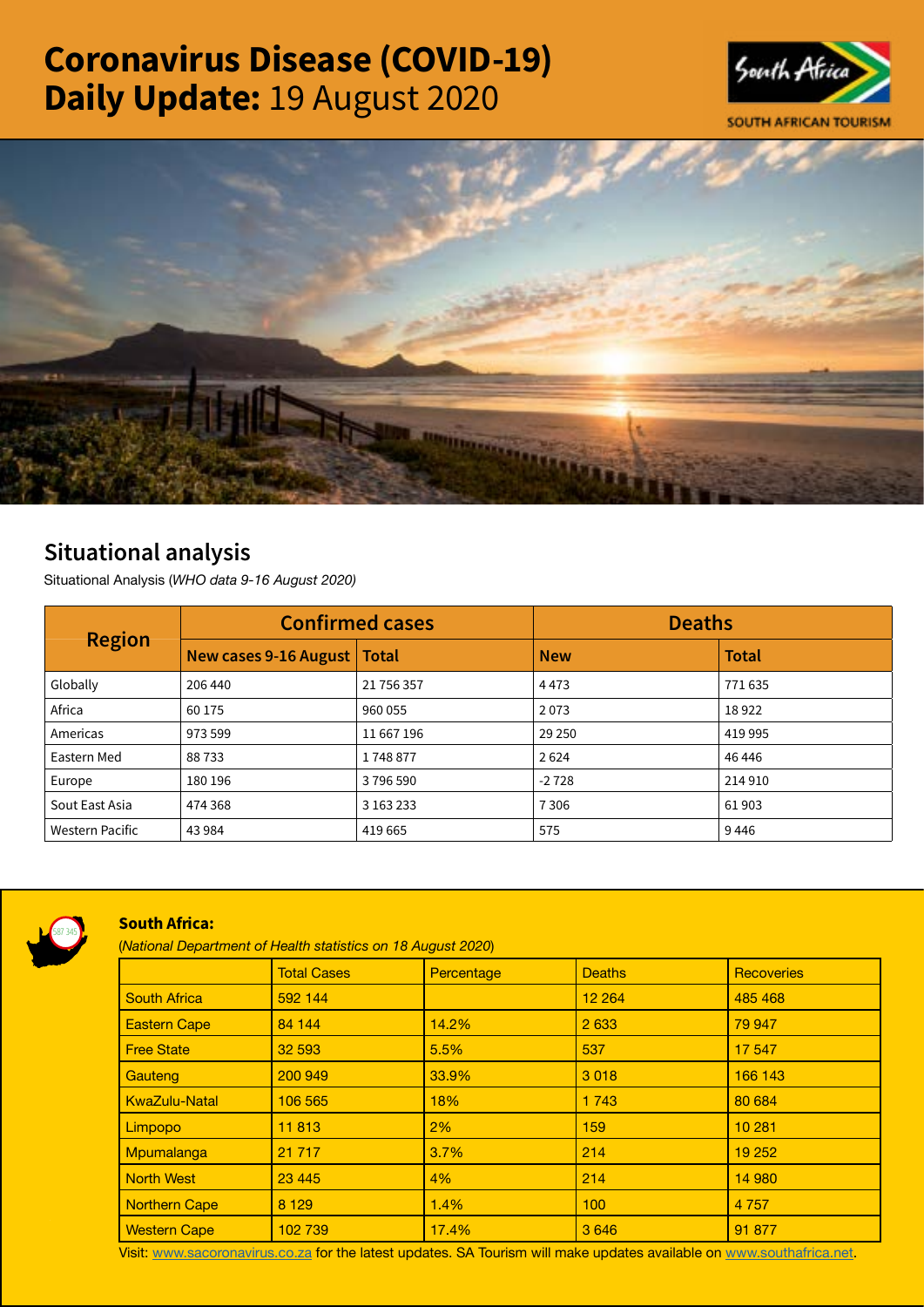# Coronavirus Disease (COVID-19) Daily Update: 19 August 2020





## Situational analysis

Situational Analysis (*WHO data 9-16 August 2020)*

| <b>Region</b>          | <b>Confirmed cases</b>        |            | <b>Deaths</b> |              |
|------------------------|-------------------------------|------------|---------------|--------------|
|                        | New cases 9-16 August   Total |            | <b>New</b>    | <b>Total</b> |
| Globally               | 206 440                       | 21 756 357 | 4473          | 771635       |
| Africa                 | 60 175                        | 960 055    | 2073          | 18922        |
| Americas               | 973 599                       | 11 667 196 | 29 250        | 419 995      |
| Eastern Med            | 88733                         | 1748877    | 2624          | 46 44 6      |
| Europe                 | 180 196                       | 3796590    | $-2728$       | 214910       |
| Sout East Asia         | 474 368                       | 3 163 233  | 7306          | 61903        |
| <b>Western Pacific</b> | 43 984                        | 419 665    | 575           | 9446         |



### South Africa:

(*National Department of Health statistics on 18 August 2020*)

|                      | <b>Total Cases</b> | Percentage | <b>Deaths</b> | <b>Recoveries</b> |
|----------------------|--------------------|------------|---------------|-------------------|
| <b>South Africa</b>  | 592 144            |            | 12 2 64       | 485 468           |
| <b>Eastern Cape</b>  | 84 144             | 14.2%      | 2 6 3 3       | 79 947            |
| <b>Free State</b>    | 32 593             | 5.5%       | 537           | 17 547            |
| Gauteng              | 200 949            | 33.9%      | 3018          | 166 143           |
| <b>KwaZulu-Natal</b> | 106 565            | 18%        | 1 7 4 3       | 80 684            |
| Limpopo              | 11813              | 2%         | 159           | 10 281            |
| Mpumalanga           | 21 7 1 7           | 3.7%       | 214           | 19 25 2           |
| <b>North West</b>    | 23 4 4 5           | 4%         | 214           | 14 980            |
| <b>Northern Cape</b> | 8 1 2 9            | 1.4%       | 100           | 4 7 5 7           |
| <b>Western Cape</b>  | 102 739            | 17.4%      | 3 6 4 6       | 91 877            |

Visit: [www.sacoronavirus.co.za](http://www.sacoronavirus.co.za) for the latest updates. SA Tourism will make updates available on [www.southafrica.net.](http://www.southafrica.net)